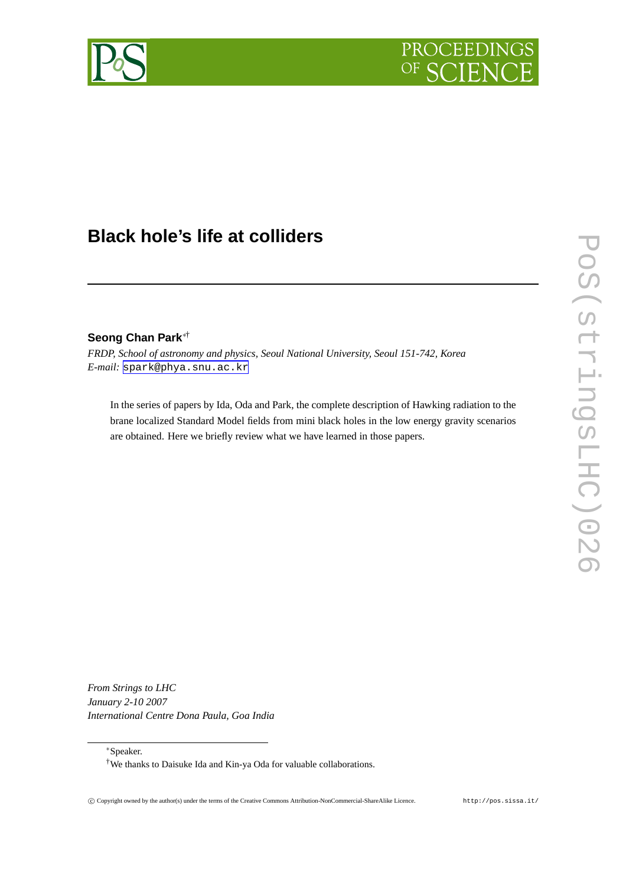



# **Black hole's life at colliders**

# **Seong Chan Park**∗†

*FRDP, School of astronomy and physics, Seoul National University, Seoul 151-742, Korea E-mail:* [spark@phya.snu.ac.kr](mailto:spark@phya.snu.ac.kr)

In the series of papers by Ida, Oda and Park, the complete description of Hawking radiation to the brane localized Standard Model fields from mini black holes in the low energy gravity scenarios are obtained. Here we briefly review what we have learned in those papers.

*From Strings to LHC January 2-10 2007 International Centre Dona Paula, Goa India*

∗Speaker.

<sup>†</sup>We thanks to Daisuke Ida and Kin-ya Oda for valuable collaborations.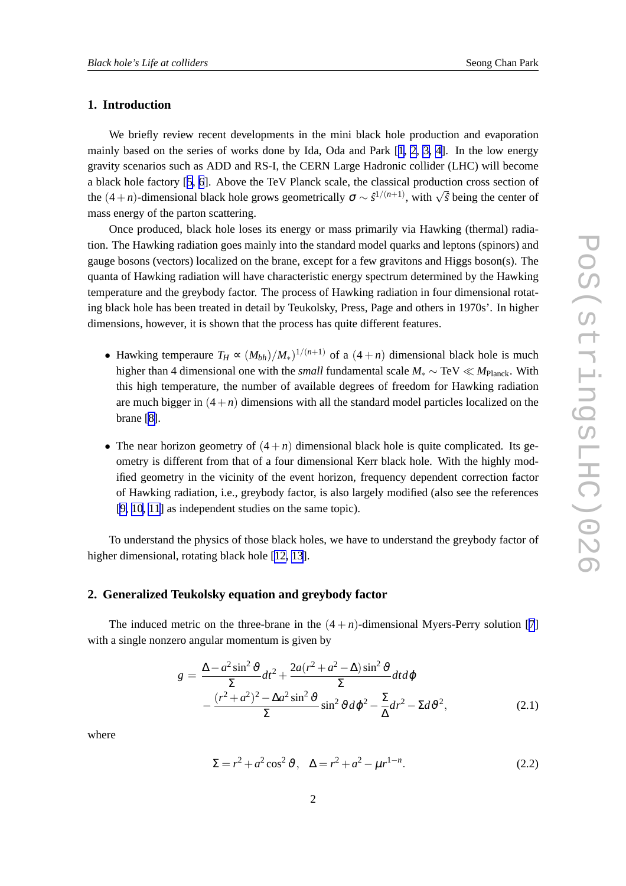# **1. Introduction**

We briefly review recent developments in the mini black hole production and evaporation mainly based on the series of works done by Ida, Oda and Park  $[1, 2, 3, 4]$  $[1, 2, 3, 4]$  $[1, 2, 3, 4]$  $[1, 2, 3, 4]$ . In the low energy gravity scenarios such as ADD and RS-I, the CERN Large Hadronic collider (LHC) will become a black hole factory [[5](#page-8-0), [6](#page-8-0)]. Above the TeV Planck scale, the classical production cross section of the  $(4+n)$ -dimensional black hole grows geometrically  $\sigma \sim \frac{s^{1/(n+1)}}{s}$ , with  $\sqrt{\hat{s}}$  being the center of mass energy of the parton scattering.

Once produced, black hole loses its energy or mass primarily via Hawking (thermal) radiation. The Hawking radiation goes mainly into the standard model quarks and leptons (spinors) and gauge bosons (vectors) localized on the brane, except for a few gravitons and Higgs boson(s). The quanta of Hawking radiation will have characteristic energy spectrum determined by the Hawking temperature and the greybody factor. The process of Hawking radiation in four dimensional rotating black hole has been treated in detail by Teukolsky, Press, Page and others in 1970s'. In higher dimensions, however, it is shown that the process has quite different features.

- Hawking temperaure  $T_H \propto (M_{bh})/M_*$ <sup>1/(*n*+1)</sup> of a (4 + *n*) dimensional black hole is much higher than 4 dimensional one with the *small* fundamental scale *M*<sup>∗</sup> ∼ TeV ≪ *M*Planck. With this high temperature, the number of available degrees of freedom for Hawking radiation are much bigger in  $(4+n)$  dimensions with all the standard model particles localized on the brane [\[8\]](#page-8-0).
- The near horizon geometry of  $(4+n)$  dimensional black hole is quite complicated. Its geometry is different from that of a four dimensional Kerr black hole. With the highly modified geometry in the vicinity of the event horizon, frequency dependent correction factor of Hawking radiation, i.e., greybody factor, is also largely modified (also see the references [\[9, 10, 11](#page-8-0)] as independent studies on the same topic).

To understand the physics of those black holes, we have to understand the greybody factor of higher dimensional, rotating black hole [[12, 13](#page-8-0)].

# **2. Generalized Teukolsky equation and greybody factor**

The induced metric on the three-brane in the  $(4 + n)$ -dimensional Myers-Perry solution [[7](#page-8-0)] with a single nonzero angular momentum is given by

$$
g = \frac{\Delta - a^2 \sin^2 \vartheta}{\Sigma} dt^2 + \frac{2a(r^2 + a^2 - \Delta)\sin^2 \vartheta}{\Sigma} dt d\varphi
$$

$$
- \frac{(r^2 + a^2)^2 - \Delta a^2 \sin^2 \vartheta}{\Sigma} \sin^2 \vartheta d\varphi^2 - \frac{\Sigma}{\Delta} dr^2 - \Sigma d\vartheta^2, \tag{2.1}
$$

where

$$
\Sigma = r^2 + a^2 \cos^2 \vartheta, \quad \Delta = r^2 + a^2 - \mu r^{1-n}.
$$
 (2.2)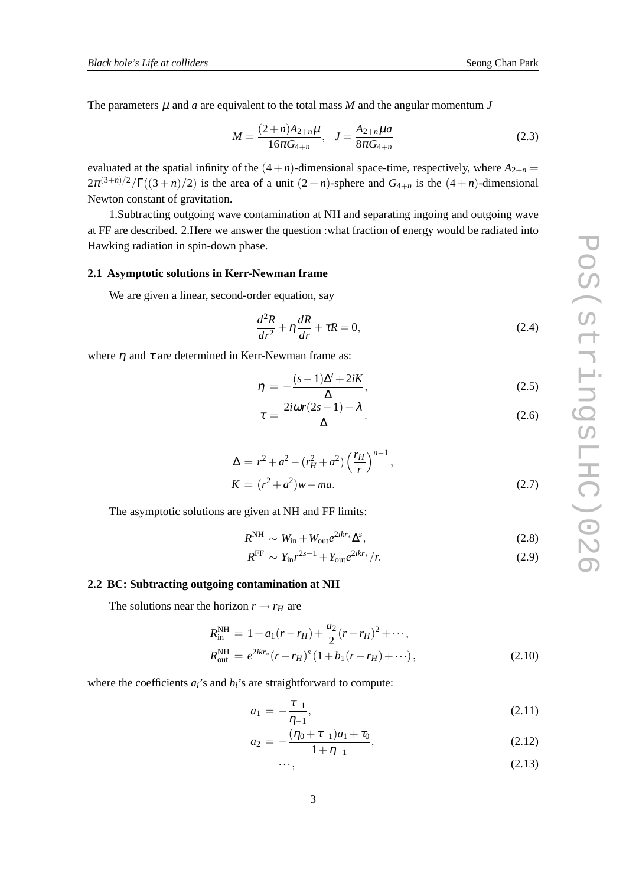<span id="page-2-0"></span>The parameters  $\mu$  and  $\alpha$  are equivalent to the total mass  $M$  and the angular momentum  $J$ 

$$
M = \frac{(2+n)A_{2+n}\mu}{16\pi G_{4+n}}, \quad J = \frac{A_{2+n}\mu a}{8\pi G_{4+n}}
$$
(2.3)

evaluated at the spatial infinity of the  $(4+n)$ -dimensional space-time, respectively, where  $A_{2+n}$  =  $2\pi^{(3+n)/2}/\Gamma((3+n)/2)$  is the area of a unit  $(2+n)$ -sphere and  $G_{4+n}$  is the  $(4+n)$ -dimensional Newton constant of gravitation.

1.Subtracting outgoing wave contamination at NH and separating ingoing and outgoing wave at FF are described. 2.Here we answer the question :what fraction of energy would be radiated into Hawking radiation in spin-down phase.

#### **2.1 Asymptotic solutions in Kerr-Newman frame**

We are given a linear, second-order equation, say

$$
\frac{d^2R}{dr^2} + \eta \frac{dR}{dr} + \tau R = 0,
$$
\n(2.4)

where  $\eta$  and  $\tau$  are determined in Kerr-Newman frame as:

$$
\eta = -\frac{(s-1)\Delta' + 2iK}{\Delta},\tag{2.5}
$$

$$
\tau = \frac{2i\omega r(2s - 1) - \lambda}{\Delta}.
$$
\n(2.6)

$$
\Delta = r^2 + a^2 - (r_H^2 + a^2) \left(\frac{r_H}{r}\right)^{n-1},
$$

$$
K = (r^2 + a^2)w - ma.
$$
 (2.7)

The asymptotic solutions are given at NH and FF limits:

$$
R^{\rm NH} \sim W_{\rm in} + W_{\rm out} e^{2ikr_*} \Delta^s, \tag{2.8}
$$

$$
R^{\rm FF} \sim Y_{\rm in} r^{2s-1} + Y_{\rm out} e^{2ikr_*}/r. \tag{2.9}
$$

## **2.2 BC: Subtracting outgoing contamination at NH**

The solutions near the horizon  $r \rightarrow r_H$  are

$$
R_{\text{in}}^{\text{NH}} = 1 + a_1(r - r_H) + \frac{a_2}{2}(r - r_H)^2 + \cdots,
$$
  
\n
$$
R_{\text{out}}^{\text{NH}} = e^{2ikr_*}(r - r_H)^s (1 + b_1(r - r_H) + \cdots),
$$
\n(2.10)

where the coefficients  $a_i$ 's and  $b_i$ 's are straightforward to compute:

$$
a_1 = -\frac{\tau_{-1}}{\eta_{-1}},\tag{2.11}
$$

$$
a_2 = -\frac{(\eta_0 + \tau_{-1})a_1 + \tau_0}{1 + \eta_{-1}},
$$
\n(2.12)

$$
\cdots, \qquad (2.13)
$$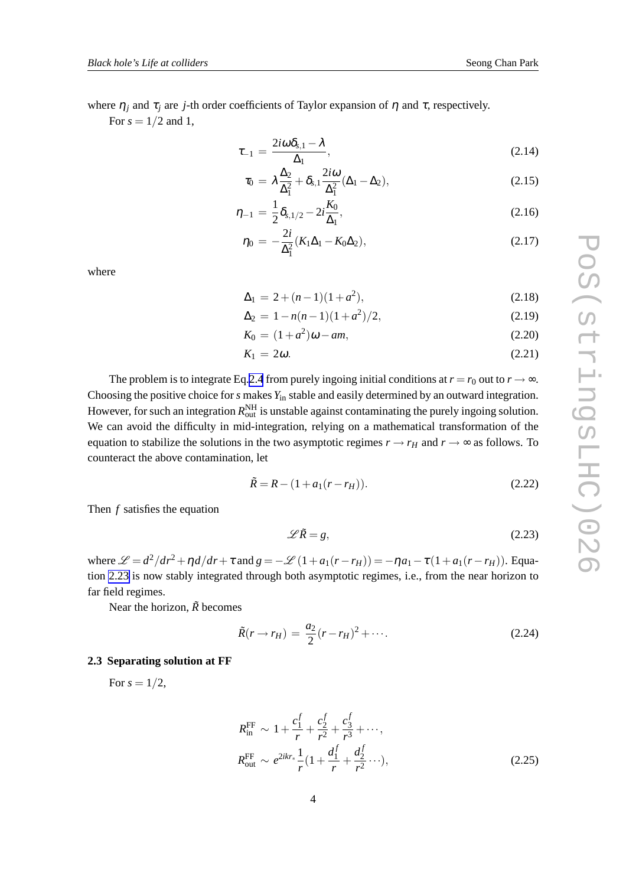where  $\eta_j$  and  $\tau_j$  are *j*-th order coefficients of Taylor expansion of  $\eta$  and  $\tau$ , respectively.

For  $s = 1/2$  and 1,

$$
\tau_{-1} = \frac{2i\omega\delta_{s,1} - \lambda}{\Delta_1},\tag{2.14}
$$

$$
\tau_0 = \lambda \frac{\Delta_2}{\Delta_1^2} + \delta_{s,1} \frac{2i\omega}{\Delta_1^2} (\Delta_1 - \Delta_2), \qquad (2.15)
$$

$$
\eta_{-1} = \frac{1}{2} \delta_{s,1/2} - 2i \frac{K_0}{\Delta_1},\tag{2.16}
$$

$$
\eta_0 = -\frac{2i}{\Delta_1^2} (K_1 \Delta_1 - K_0 \Delta_2), \tag{2.17}
$$

where

$$
\Delta_1 = 2 + (n - 1)(1 + a^2),\tag{2.18}
$$

$$
\Delta_2 = 1 - n(n-1)(1+a^2)/2, \tag{2.19}
$$

$$
K_0 = (1 + a^2)\omega - am,
$$
\n(2.20)

$$
K_1 = 2\omega. \tag{2.21}
$$

The problem is to integrate Eq.[2.4](#page-2-0) from purely ingoing initial conditions at  $r = r_0$  out to  $r \rightarrow \infty$ . Choosing the positive choice for *s* makes *Y*in stable and easily determined by an outward integration. However, for such an integration  $R_{\text{out}}^{\text{NH}}$  is unstable against contaminating the purely ingoing solution. We can avoid the difficulty in mid-integration, relying on a mathematical transformation of the equation to stabilize the solutions in the two asymptotic regimes  $r \rightarrow r_H$  and  $r \rightarrow \infty$  as follows. To counteract the above contamination, let

$$
\tilde{R} = R - (1 + a_1(r - r_H)).
$$
\n(2.22)

Then *f* satisfies the equation

$$
\mathscr{L}\tilde{R} = g,\tag{2.23}
$$

where  $\mathcal{L} = d^2/dr^2 + \eta d/dr + \tau$  and  $g = -\mathcal{L} (1 + a_1(r - r_H)) = -\eta a_1 - \tau (1 + a_1(r - r_H))$ . Equation 2.23 is now stably integrated through both asymptotic regimes, i.e., from the near horizon to far field regimes.

Near the horizon,  $\tilde{R}$  becomes

$$
\tilde{R}(r \to r_H) = \frac{a_2}{2}(r - r_H)^2 + \cdots. \tag{2.24}
$$

# **2.3 Separating solution at FF**

For  $s = 1/2$ ,

$$
R_{\text{in}}^{\text{FF}} \sim 1 + \frac{c_1^f}{r} + \frac{c_2^f}{r^2} + \frac{c_3^f}{r^3} + \cdots,
$$
  
\n
$$
R_{\text{out}}^{\text{FF}} \sim e^{2ikr_*} \frac{1}{r} (1 + \frac{d_1^f}{r} + \frac{d_2^f}{r^2} + \cdots),
$$
\n(2.25)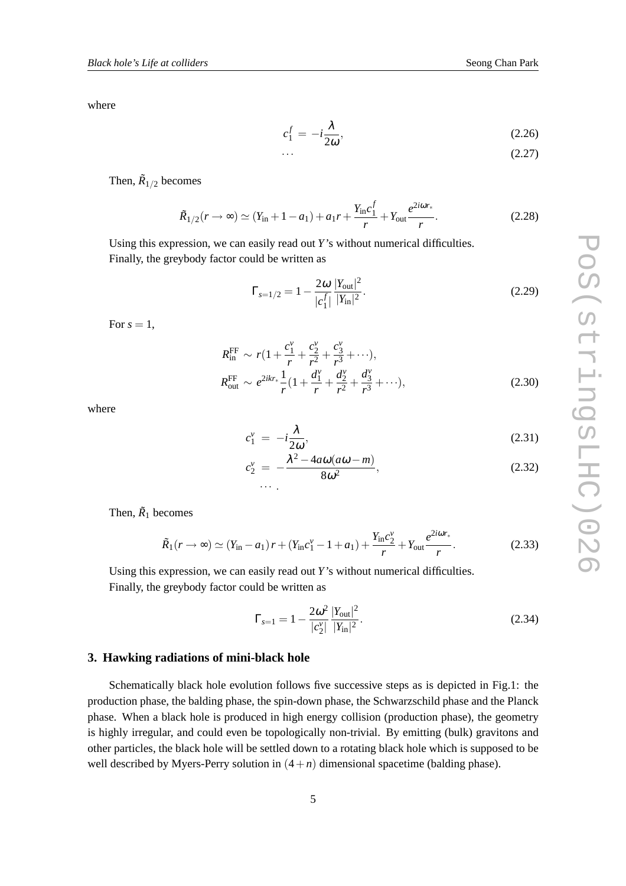where

$$
c_1^f = -i\frac{\lambda}{2\omega},\tag{2.26}
$$

$$
\cdots \hspace{1.5cm} (2.27)
$$

Then,  $\tilde{R}_{1/2}$  becomes

$$
\tilde{R}_{1/2}(r \to \infty) \simeq (Y_{\text{in}} + 1 - a_1) + a_1 r + \frac{Y_{\text{in}} c_1^f}{r} + Y_{\text{out}} \frac{e^{2i\omega r_*}}{r}.
$$
\n(2.28)

Using this expression, we can easily read out *Y*'s without numerical difficulties. Finally, the greybody factor could be written as

$$
\Gamma_{s=1/2} = 1 - \frac{2\omega}{|c_1^f|} \frac{|Y_{\text{out}}|^2}{|Y_{\text{in}}|^2}.
$$
\n(2.29)

For  $s = 1$ ,

$$
R_{\text{in}}^{\text{FF}} \sim r\left(1 + \frac{c_1^{\nu}}{r} + \frac{c_2^{\nu}}{r^2} + \frac{c_3^{\nu}}{r^3} + \cdots\right),
$$
  
\n
$$
R_{\text{out}}^{\text{FF}} \sim e^{2ikr_*} \frac{1}{r} \left(1 + \frac{d_1^{\nu}}{r} + \frac{d_2^{\nu}}{r^2} + \frac{d_3^{\nu}}{r^3} + \cdots\right),
$$
\n(2.30)

where

$$
c_1^{\nu} = -i\frac{\lambda}{2\omega},\tag{2.31}
$$

$$
c_2^{\nu} = -\frac{\lambda^2 - 4a\omega(a\omega - m)}{8\omega^2},
$$
\n(2.32)

Then,  $\tilde{R}_1$  becomes

$$
\tilde{R}_1(r \to \infty) \simeq (Y_{\rm in} - a_1) r + (Y_{\rm in} c_1^{\nu} - 1 + a_1) + \frac{Y_{\rm in} c_2^{\nu}}{r} + Y_{\rm out} \frac{e^{2i\omega r_*}}{r}.
$$
\n(2.33)

Using this expression, we can easily read out *Y*'s without numerical difficulties. Finally, the greybody factor could be written as

$$
\Gamma_{s=1} = 1 - \frac{2\omega^2}{|c_2^v|} \frac{|Y_{\text{out}}|^2}{|Y_{\text{in}}|^2}.
$$
\n(2.34)

### **3. Hawking radiations of mini-black hole**

Schematically black hole evolution follows five successive steps as is depicted in Fig.1: the production phase, the balding phase, the spin-down phase, the Schwarzschild phase and the Planck phase. When a black hole is produced in high energy collision (production phase), the geometry is highly irregular, and could even be topologically non-trivial. By emitting (bulk) gravitons and other particles, the black hole will be settled down to a rotating black hole which is supposed to be well described by Myers-Perry solution in  $(4+n)$  dimensional spacetime (balding phase).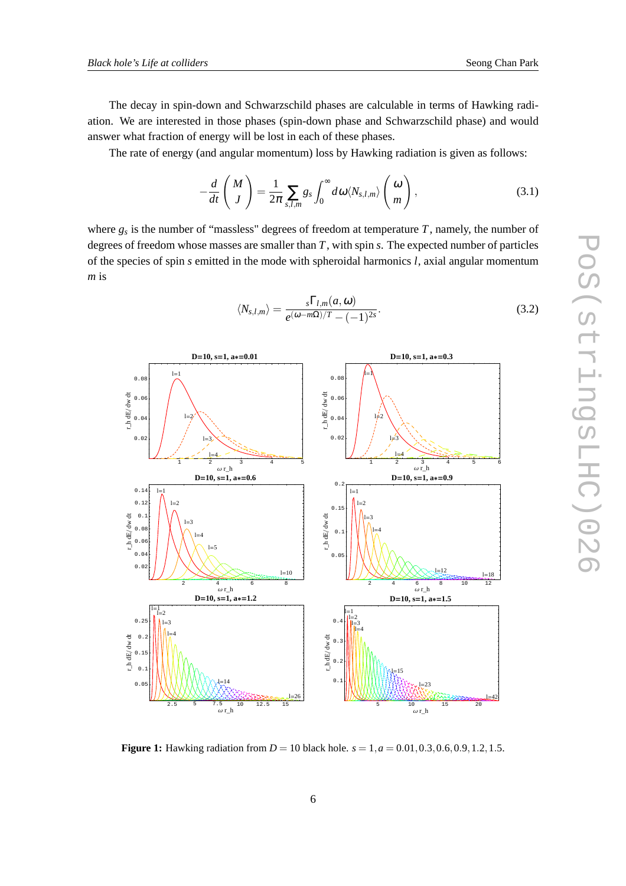<span id="page-5-0"></span>The decay in spin-down and Schwarzschild phases are calculable in terms of Hawking radiation. We are interested in those phases (spin-down phase and Schwarzschild phase) and would answer what fraction of energy will be lost in each of these phases.

The rate of energy (and angular momentum) loss by Hawking radiation is given as follows:

$$
-\frac{d}{dt}\left(\frac{M}{J}\right) = \frac{1}{2\pi}\sum_{s,l,m}g_s\int_0^\infty d\omega \langle N_{s,l,m}\rangle\left(\frac{\omega}{m}\right),\tag{3.1}
$$

where  $g_s$  is the number of "massless" degrees of freedom at temperature  $T$ , namely, the number of degrees of freedom whose masses are smaller than *T*, with spin *s*. The expected number of particles of the species of spin *s* emitted in the mode with spheroidal harmonics *l*, axial angular momentum *m* is

$$
\langle N_{s,l,m} \rangle = \frac{{}_s \Gamma_{l,m}(a,\omega)}{e^{(\omega - m\Omega)/T} - (-1)^{2s}}.
$$
\n(3.2)



**Figure 1:** Hawking radiation from  $D = 10$  black hole.  $s = 1, a = 0.01, 0.3, 0.6, 0.9, 1.2, 1.5$ .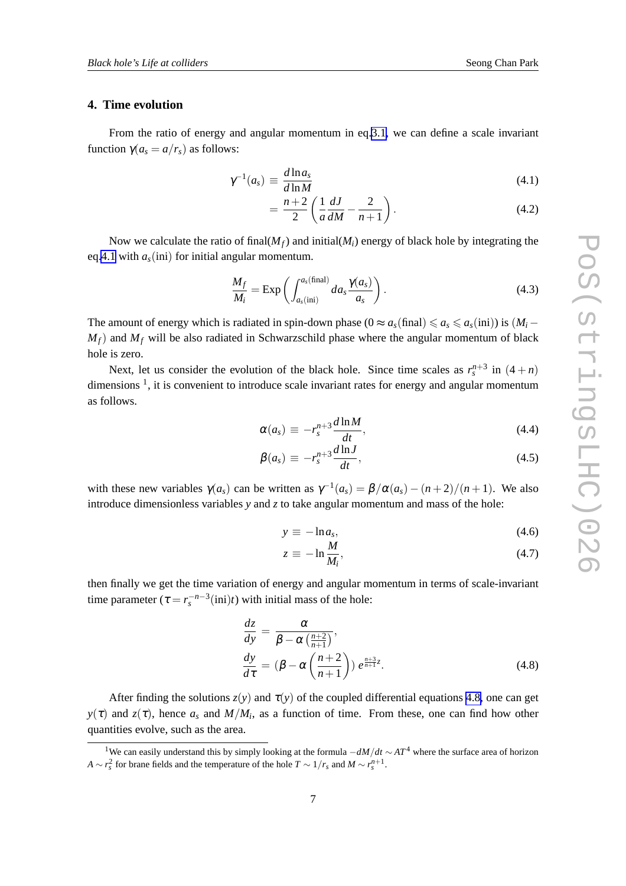# **4. Time evolution**

From the ratio of energy and angular momentum in eq[.3.1,](#page-5-0) we can define a scale invariant function  $γ(a<sub>s</sub> = a/r<sub>s</sub>)$  as follows:

$$
\gamma^{-1}(a_s) \equiv \frac{d \ln a_s}{d \ln M} \tag{4.1}
$$

$$
= \frac{n+2}{2} \left( \frac{1}{a} \frac{dJ}{dM} - \frac{2}{n+1} \right).
$$
 (4.2)

Now we calculate the ratio of final( $M_f$ ) and initial( $M_i$ ) energy of black hole by integrating the eq.4.1 with  $a<sub>s</sub>(ini)$  for initial angular momentum.

$$
\frac{M_f}{M_i} = \text{Exp}\left(\int_{a_s(\text{ini})}^{a_s(\text{final})} da_s \frac{\gamma(a_s)}{a_s}\right). \tag{4.3}
$$

The amount of energy which is radiated in spin-down phase ( $0 \approx a_s(\text{final}) \leq a_s \leq a_s(\text{ini}))$ ) is  $(M_i M_f$ ) and  $M_f$  will be also radiated in Schwarzschild phase where the angular momentum of black hole is zero.

Next, let us consider the evolution of the black hole. Since time scales as  $r_s^{n+3}$  in  $(4+n)$ dimensions<sup>1</sup>, it is convenient to introduce scale invariant rates for energy and angular momentum as follows.

$$
\alpha(a_s) \equiv -r_s^{n+3} \frac{d \ln M}{dt}, \qquad (4.4)
$$

$$
\beta(a_s) \equiv -r_s^{n+3} \frac{d \ln J}{dt},\tag{4.5}
$$

with these new variables  $\gamma(a_s)$  can be written as  $\gamma^{-1}(a_s) = \beta/\alpha(a_s) - (n+2)/(n+1)$ . We also introduce dimensionless variables *y* and *z* to take angular momentum and mass of the hole:

$$
y \equiv -\ln a_s,\tag{4.6}
$$

$$
z \equiv -\ln \frac{M}{M_{\cdot}},\tag{4.7}
$$

then finally we get the time variation of energy and angular momentum in terms of scale-invariant time parameter  $(\tau = r_s^{-n-3}(\text{ini})t)$  with initial mass of the hole:

$$
\frac{dz}{dy} = \frac{\alpha}{\beta - \alpha \left(\frac{n+2}{n+1}\right)},
$$
\n
$$
\frac{dy}{d\tau} = (\beta - \alpha \left(\frac{n+2}{n+1}\right)) e^{\frac{n+3}{n+1}z}.
$$
\n(4.8)

After finding the solutions  $z(y)$  and  $\tau(y)$  of the coupled differential equations 4.8, one can get *y*( $\tau$ ) and *z*( $\tau$ ), hence *a<sub>s</sub>* and *M*/*M*<sub>*i*</sub>, as a function of time. From these, one can find how other quantities evolve, such as the area.

<sup>1</sup>We can easily understand this by simply looking at the formula <sup>−</sup>*dM*/*dt* <sup>∼</sup> *AT*<sup>4</sup> where the surface area of horizon *A* ∼ *r*<sub>*s*</sub><sup>2</sup> for brane fields and the temperature of the hole *T* ∼ 1/*r*<sub>*s*</sub> and *M* ∼  $r_s^{n+1}$ .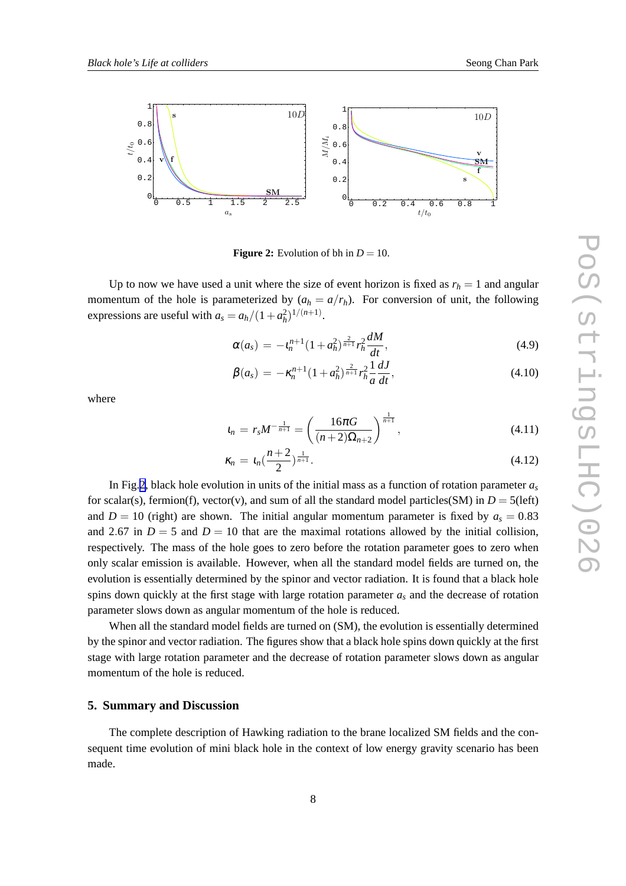

**Figure 2:** Evolution of bh in  $D = 10$ .

Up to now we have used a unit where the size of event horizon is fixed as  $r_h = 1$  and angular momentum of the hole is parameterized by  $(a_h = a/r_h)$ . For conversion of unit, the following expressions are useful with  $a_s = a_h/(1 + a_h^2)^{1/(n+1)}$ .

$$
\alpha(a_s) = -t_n^{n+1} (1 + a_h^2)^{\frac{2}{n+1}} r_h^2 \frac{dM}{dt},
$$
\n(4.9)

$$
\beta(a_s) = -\kappa_n^{n+1} (1 + a_h^2)^{\frac{2}{n+1}} r_h^2 \frac{1}{a} \frac{dJ}{dt},\tag{4.10}
$$

where

$$
a_n = r_s M^{-\frac{1}{n+1}} = \left(\frac{16\pi G}{(n+2)\Omega_{n+2}}\right)^{\frac{1}{n+1}}, \qquad (4.11)
$$

$$
\kappa_n = \iota_n(\frac{n+2}{2})^{\frac{1}{n+1}}.\tag{4.12}
$$

In Fig.2, black hole evolution in units of the initial mass as a function of rotation parameter  $a<sub>s</sub>$ for scalar(s), fermion(f), vector(v), and sum of all the standard model particles(SM) in  $D = 5$ (left) and  $D = 10$  (right) are shown. The initial angular momentum parameter is fixed by  $a<sub>s</sub> = 0.83$ and 2.67 in  $D = 5$  and  $D = 10$  that are the maximal rotations allowed by the initial collision, respectively. The mass of the hole goes to zero before the rotation parameter goes to zero when only scalar emission is available. However, when all the standard model fields are turned on, the evolution is essentially determined by the spinor and vector radiation. It is found that a black hole spins down quickly at the first stage with large rotation parameter  $a<sub>s</sub>$  and the decrease of rotation parameter slows down as angular momentum of the hole is reduced.

When all the standard model fields are turned on (SM), the evolution is essentially determined by the spinor and vector radiation. The figures show that a black hole spins down quickly at the first stage with large rotation parameter and the decrease of rotation parameter slows down as angular momentum of the hole is reduced.

# **5. Summary and Discussion**

The complete description of Hawking radiation to the brane localized SM fields and the consequent time evolution of mini black hole in the context of low energy gravity scenario has been made.